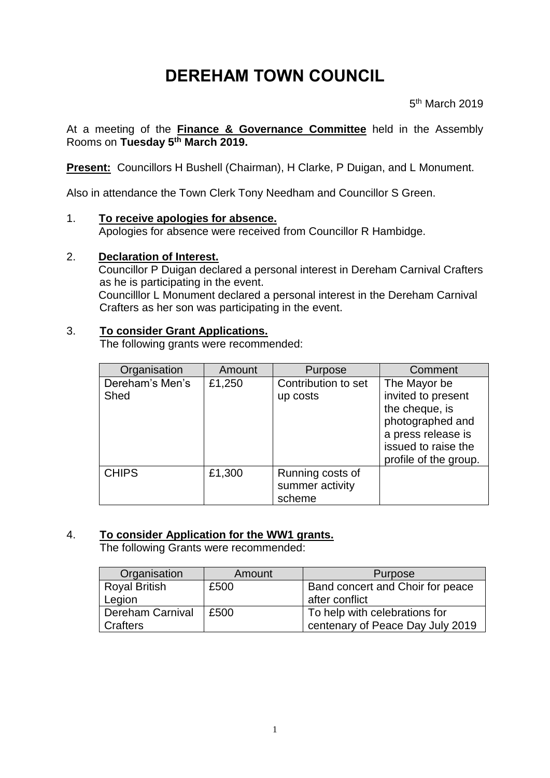# **DEREHAM TOWN COUNCIL**

5<sup>th</sup> March 2019

At a meeting of the **Finance & Governance Committee** held in the Assembly Rooms on **Tuesday 5 th March 2019.**

**Present:** Councillors H Bushell (Chairman), H Clarke, P Duigan, and L Monument.

Also in attendance the Town Clerk Tony Needham and Councillor S Green.

## 1. **To receive apologies for absence.**

Apologies for absence were received from Councillor R Hambidge.

## 2. **Declaration of Interest.**

Councillor P Duigan declared a personal interest in Dereham Carnival Crafters as he is participating in the event. Councilllor L Monument declared a personal interest in the Dereham Carnival Crafters as her son was participating in the event.

## 3. **To consider Grant Applications.**

The following grants were recommended:

| Organisation    | Amount | Purpose             | Comment               |
|-----------------|--------|---------------------|-----------------------|
| Dereham's Men's | £1,250 | Contribution to set | The Mayor be          |
| Shed            |        | up costs            | invited to present    |
|                 |        |                     | the cheque, is        |
|                 |        |                     | photographed and      |
|                 |        |                     | a press release is    |
|                 |        |                     | issued to raise the   |
|                 |        |                     | profile of the group. |
| <b>CHIPS</b>    | £1,300 | Running costs of    |                       |
|                 |        | summer activity     |                       |
|                 |        | scheme              |                       |

# 4. **To consider Application for the WW1 grants.**

The following Grants were recommended:

| Organisation            | Amount | Purpose                          |
|-------------------------|--------|----------------------------------|
| <b>Royal British</b>    | £500   | Band concert and Choir for peace |
| Legion                  |        | after conflict                   |
| <b>Dereham Carnival</b> | £500   | To help with celebrations for    |
| Crafters                |        | centenary of Peace Day July 2019 |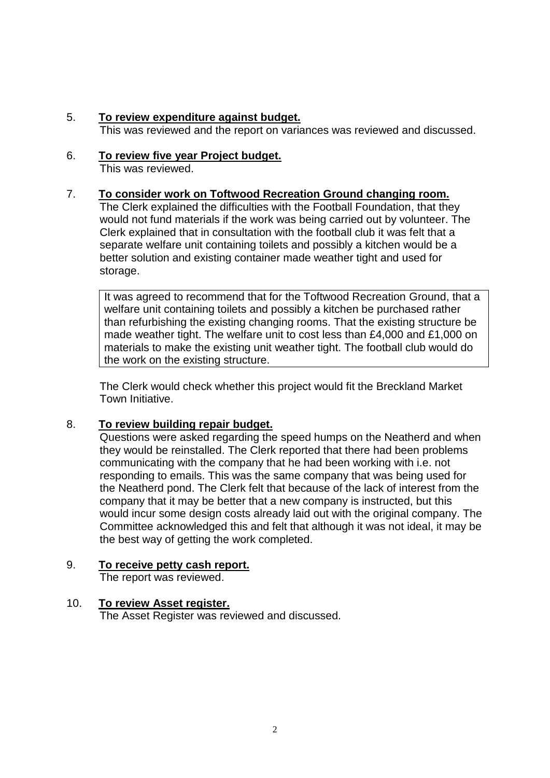5. **To review expenditure against budget.**

This was reviewed and the report on variances was reviewed and discussed.

6. **To review five year Project budget.** This was reviewed.

## 7. **To consider work on Toftwood Recreation Ground changing room.**

The Clerk explained the difficulties with the Football Foundation, that they would not fund materials if the work was being carried out by volunteer. The Clerk explained that in consultation with the football club it was felt that a separate welfare unit containing toilets and possibly a kitchen would be a better solution and existing container made weather tight and used for storage.

It was agreed to recommend that for the Toftwood Recreation Ground, that a welfare unit containing toilets and possibly a kitchen be purchased rather than refurbishing the existing changing rooms. That the existing structure be made weather tight. The welfare unit to cost less than £4,000 and £1,000 on materials to make the existing unit weather tight. The football club would do the work on the existing structure.

The Clerk would check whether this project would fit the Breckland Market Town Initiative.

# 8. **To review building repair budget.**

Questions were asked regarding the speed humps on the Neatherd and when they would be reinstalled. The Clerk reported that there had been problems communicating with the company that he had been working with i.e. not responding to emails. This was the same company that was being used for the Neatherd pond. The Clerk felt that because of the lack of interest from the company that it may be better that a new company is instructed, but this would incur some design costs already laid out with the original company. The Committee acknowledged this and felt that although it was not ideal, it may be the best way of getting the work completed.

# 9. **To receive petty cash report.**

The report was reviewed.

# 10. **To review Asset register.**

The Asset Register was reviewed and discussed.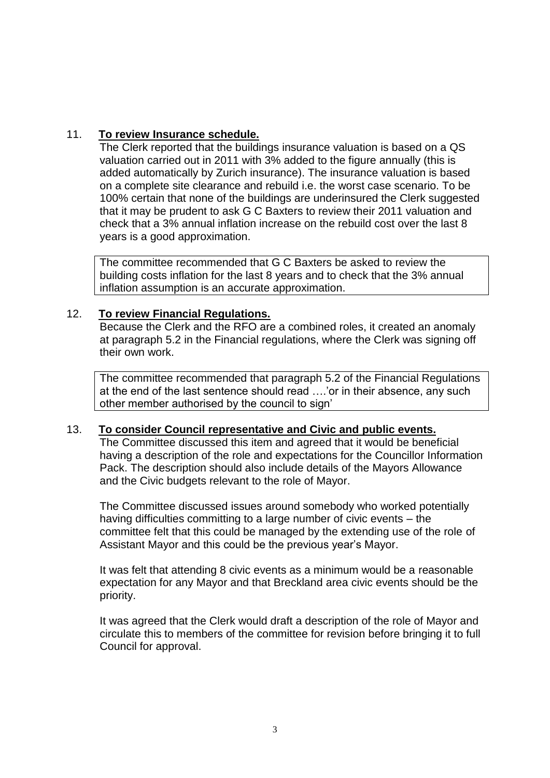# 11. **To review Insurance schedule.**

The Clerk reported that the buildings insurance valuation is based on a QS valuation carried out in 2011 with 3% added to the figure annually (this is added automatically by Zurich insurance). The insurance valuation is based on a complete site clearance and rebuild i.e. the worst case scenario. To be 100% certain that none of the buildings are underinsured the Clerk suggested that it may be prudent to ask G C Baxters to review their 2011 valuation and check that a 3% annual inflation increase on the rebuild cost over the last 8 years is a good approximation.

The committee recommended that G C Baxters be asked to review the building costs inflation for the last 8 years and to check that the 3% annual inflation assumption is an accurate approximation.

## 12. **To review Financial Regulations.**

Because the Clerk and the RFO are a combined roles, it created an anomaly at paragraph 5.2 in the Financial regulations, where the Clerk was signing off their own work.

The committee recommended that paragraph 5.2 of the Financial Regulations at the end of the last sentence should read ….'or in their absence, any such other member authorised by the council to sign'

## 13. **To consider Council representative and Civic and public events.**

The Committee discussed this item and agreed that it would be beneficial having a description of the role and expectations for the Councillor Information Pack. The description should also include details of the Mayors Allowance and the Civic budgets relevant to the role of Mayor.

The Committee discussed issues around somebody who worked potentially having difficulties committing to a large number of civic events – the committee felt that this could be managed by the extending use of the role of Assistant Mayor and this could be the previous year's Mayor.

It was felt that attending 8 civic events as a minimum would be a reasonable expectation for any Mayor and that Breckland area civic events should be the priority.

It was agreed that the Clerk would draft a description of the role of Mayor and circulate this to members of the committee for revision before bringing it to full Council for approval.